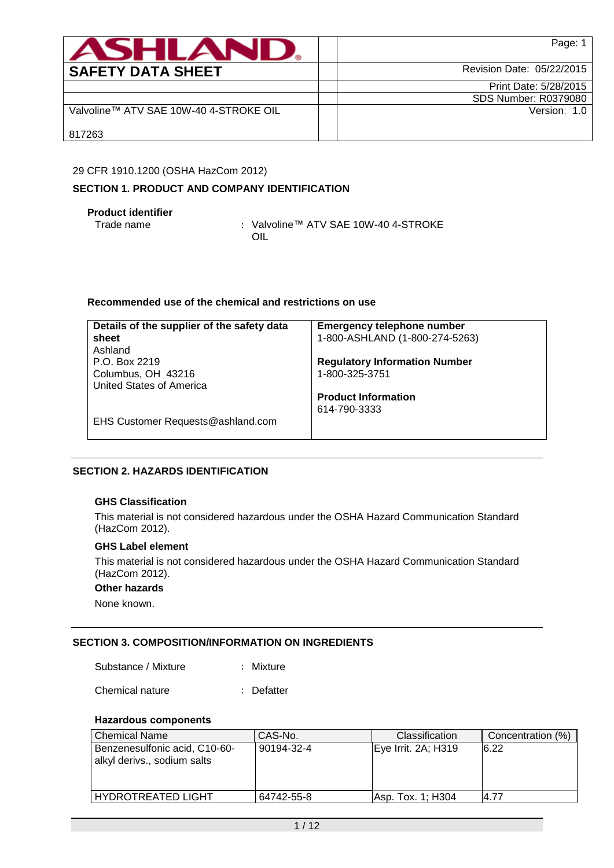| <b>ASHLAN</b>                          | Page: 1                   |
|----------------------------------------|---------------------------|
| <b>SAFETY DATA SHEET</b>               | Revision Date: 05/22/2015 |
|                                        | Print Date: 5/28/2015     |
|                                        | SDS Number: R0379080      |
| Valvoline™ ATV SAE 10W-40 4-STROKE OIL | Version: 1.0              |
| 817263                                 |                           |

### 29 CFR 1910.1200 (OSHA HazCom 2012)

### **SECTION 1. PRODUCT AND COMPANY IDENTIFICATION**

**Product identifier**

: Valvoline™ ATV SAE 10W-40 4-STROKE OIL

### **Recommended use of the chemical and restrictions on use**

| Details of the supplier of the safety data | <b>Emergency telephone number</b>    |
|--------------------------------------------|--------------------------------------|
| sheet                                      | 1-800-ASHLAND (1-800-274-5263)       |
| Ashland                                    |                                      |
| P.O. Box 2219                              | <b>Regulatory Information Number</b> |
| Columbus, OH 43216                         | 1-800-325-3751                       |
| United States of America                   |                                      |
|                                            | <b>Product Information</b>           |
|                                            | 614-790-3333                         |
| EHS Customer Requests@ashland.com          |                                      |
|                                            |                                      |

# **SECTION 2. HAZARDS IDENTIFICATION**

# **GHS Classification**

This material is not considered hazardous under the OSHA Hazard Communication Standard (HazCom 2012).

## **GHS Label element**

This material is not considered hazardous under the OSHA Hazard Communication Standard (HazCom 2012).

### **Other hazards**

None known.

### **SECTION 3. COMPOSITION/INFORMATION ON INGREDIENTS**

Substance / Mixture : Mixture

Chemical nature : Defatter

### **Hazardous components**

| <b>Chemical Name</b>                                         | CAS-No.    | <b>Classification</b> | Concentration (%) |
|--------------------------------------------------------------|------------|-----------------------|-------------------|
| Benzenesulfonic acid, C10-60-<br>alkyl derivs., sodium salts | 90194-32-4 | Eye Irrit. 2A; H319   | 16.22             |
| <b>HYDROTREATED LIGHT</b>                                    | 64742-55-8 | lAsp. Tox. 1: H304    | 4.77              |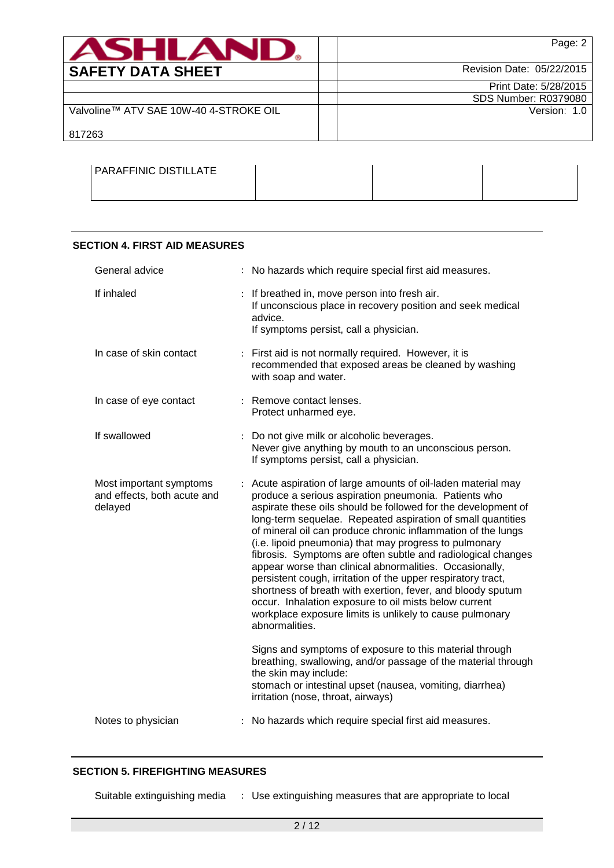| <b>ASHLANI</b>                         | Page: 2                     |
|----------------------------------------|-----------------------------|
| <b>SAFETY DATA SHEET</b>               | Revision Date: 05/22/2015   |
|                                        | Print Date: 5/28/2015       |
|                                        | <b>SDS Number: R0379080</b> |
| Valvoline™ ATV SAE 10W-40 4-STROKE OIL | Version: 1.0                |
| 817263                                 |                             |

| PARAFFINIC DISTILLATE |  |  |
|-----------------------|--|--|
|                       |  |  |

### **SECTION 4. FIRST AID MEASURES**

| General advice                                                    | : No hazards which require special first aid measures.                                                                                                                                                                                                                                                                                                                                                                                                                                                                                                                                                                                                                                                                                                                           |
|-------------------------------------------------------------------|----------------------------------------------------------------------------------------------------------------------------------------------------------------------------------------------------------------------------------------------------------------------------------------------------------------------------------------------------------------------------------------------------------------------------------------------------------------------------------------------------------------------------------------------------------------------------------------------------------------------------------------------------------------------------------------------------------------------------------------------------------------------------------|
| If inhaled                                                        | : If breathed in, move person into fresh air.<br>If unconscious place in recovery position and seek medical<br>advice.<br>If symptoms persist, call a physician.                                                                                                                                                                                                                                                                                                                                                                                                                                                                                                                                                                                                                 |
| In case of skin contact                                           | : First aid is not normally required. However, it is<br>recommended that exposed areas be cleaned by washing<br>with soap and water.                                                                                                                                                                                                                                                                                                                                                                                                                                                                                                                                                                                                                                             |
| In case of eye contact                                            | : Remove contact lenses.<br>Protect unharmed eye.                                                                                                                                                                                                                                                                                                                                                                                                                                                                                                                                                                                                                                                                                                                                |
| If swallowed                                                      | : Do not give milk or alcoholic beverages.<br>Never give anything by mouth to an unconscious person.<br>If symptoms persist, call a physician.                                                                                                                                                                                                                                                                                                                                                                                                                                                                                                                                                                                                                                   |
| Most important symptoms<br>and effects, both acute and<br>delayed | : Acute aspiration of large amounts of oil-laden material may<br>produce a serious aspiration pneumonia. Patients who<br>aspirate these oils should be followed for the development of<br>long-term sequelae. Repeated aspiration of small quantities<br>of mineral oil can produce chronic inflammation of the lungs<br>(i.e. lipoid pneumonia) that may progress to pulmonary<br>fibrosis. Symptoms are often subtle and radiological changes<br>appear worse than clinical abnormalities. Occasionally,<br>persistent cough, irritation of the upper respiratory tract,<br>shortness of breath with exertion, fever, and bloody sputum<br>occur. Inhalation exposure to oil mists below current<br>workplace exposure limits is unlikely to cause pulmonary<br>abnormalities. |
|                                                                   | Signs and symptoms of exposure to this material through<br>breathing, swallowing, and/or passage of the material through<br>the skin may include:<br>stomach or intestinal upset (nausea, vomiting, diarrhea)<br>irritation (nose, throat, airways)                                                                                                                                                                                                                                                                                                                                                                                                                                                                                                                              |
| Notes to physician                                                | : No hazards which require special first aid measures.                                                                                                                                                                                                                                                                                                                                                                                                                                                                                                                                                                                                                                                                                                                           |

# **SECTION 5. FIREFIGHTING MEASURES**

Suitable extinguishing media : Use extinguishing measures that are appropriate to local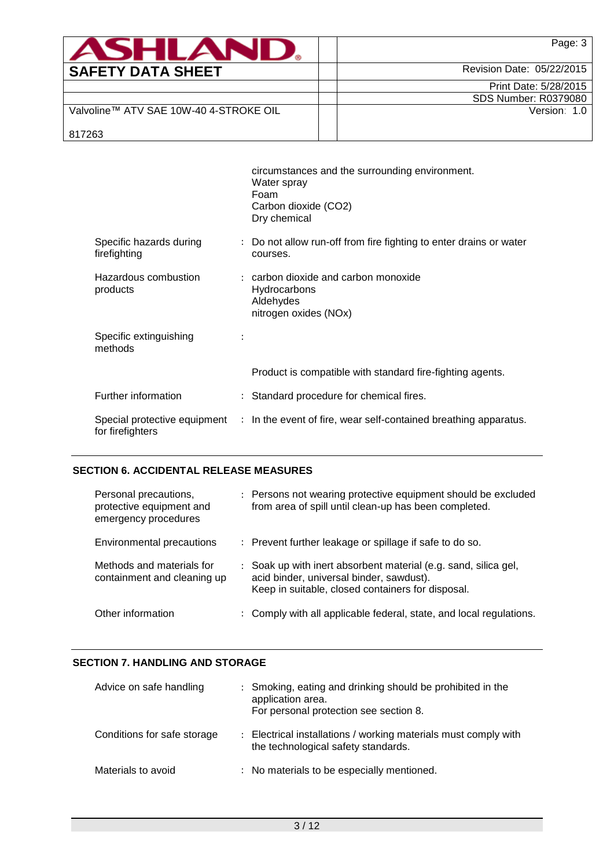| <b>ASHLAND.</b>                        | Page: 3                   |
|----------------------------------------|---------------------------|
| <b>SAFETY DATA SHEET</b>               | Revision Date: 05/22/2015 |
|                                        | Print Date: 5/28/2015     |
|                                        | SDS Number: R0379080      |
| Valvoline™ ATV SAE 10W-40 4-STROKE OIL | Version: 1.0              |
| 817263                                 |                           |

|                                         |                | circumstances and the surrounding environment.<br>Water spray<br>Foam<br>Carbon dioxide (CO2)<br>Dry chemical |
|-----------------------------------------|----------------|---------------------------------------------------------------------------------------------------------------|
| Specific hazards during<br>firefighting |                | : Do not allow run-off from fire fighting to enter drains or water<br>courses.                                |
| Hazardous combustion<br>products        |                | $:$ carbon dioxide and carbon monoxide<br>Hydrocarbons<br>Aldehydes<br>nitrogen oxides (NOx)                  |
| Specific extinguishing<br>methods       | $\ddot{\cdot}$ |                                                                                                               |
|                                         |                | Product is compatible with standard fire-fighting agents.                                                     |
| Further information                     |                | : Standard procedure for chemical fires.                                                                      |
| for firefighters                        |                | Special protective equipment : In the event of fire, wear self-contained breathing apparatus.                 |

# **SECTION 6. ACCIDENTAL RELEASE MEASURES**

| Personal precautions,<br>protective equipment and<br>emergency procedures | : Persons not wearing protective equipment should be excluded<br>from area of spill until clean-up has been completed.                                           |
|---------------------------------------------------------------------------|------------------------------------------------------------------------------------------------------------------------------------------------------------------|
| Environmental precautions                                                 | : Prevent further leakage or spillage if safe to do so.                                                                                                          |
| Methods and materials for<br>containment and cleaning up                  | : Soak up with inert absorbent material (e.g. sand, silica gel,<br>acid binder, universal binder, sawdust).<br>Keep in suitable, closed containers for disposal. |
| Other information                                                         | : Comply with all applicable federal, state, and local regulations.                                                                                              |

# **SECTION 7. HANDLING AND STORAGE**

| Advice on safe handling     | : Smoking, eating and drinking should be prohibited in the<br>application area.<br>For personal protection see section 8. |
|-----------------------------|---------------------------------------------------------------------------------------------------------------------------|
| Conditions for safe storage | : Electrical installations / working materials must comply with<br>the technological safety standards.                    |
| Materials to avoid          | : No materials to be especially mentioned.                                                                                |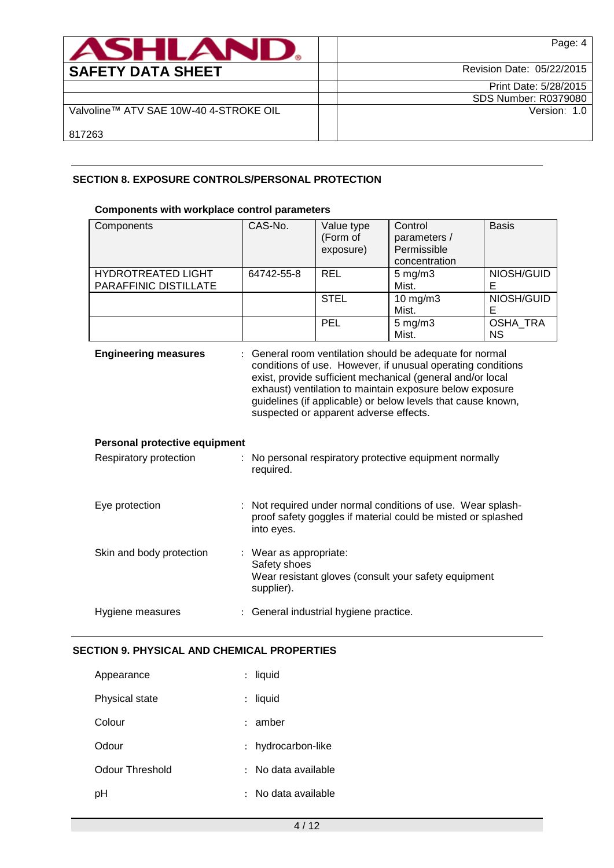| <b>ASHLAN</b>                          | Page: 4                     |
|----------------------------------------|-----------------------------|
| <b>SAFETY DATA SHEET</b>               | Revision Date: 05/22/2015   |
|                                        | Print Date: 5/28/2015       |
|                                        | <b>SDS Number: R0379080</b> |
| Valvoline™ ATV SAE 10W-40 4-STROKE OIL | Version: 1.0                |
| 817263                                 |                             |

# **SECTION 8. EXPOSURE CONTROLS/PERSONAL PROTECTION**

### **Components with workplace control parameters**

| Components                    | CAS-No.                                                                                                                                                                                                                                                                                                                                                     | Value type                                                                                                                | Control            | <b>Basis</b> |  |  |
|-------------------------------|-------------------------------------------------------------------------------------------------------------------------------------------------------------------------------------------------------------------------------------------------------------------------------------------------------------------------------------------------------------|---------------------------------------------------------------------------------------------------------------------------|--------------------|--------------|--|--|
|                               |                                                                                                                                                                                                                                                                                                                                                             | (Form of                                                                                                                  | parameters /       |              |  |  |
|                               |                                                                                                                                                                                                                                                                                                                                                             | exposure)                                                                                                                 | Permissible        |              |  |  |
|                               |                                                                                                                                                                                                                                                                                                                                                             |                                                                                                                           | concentration      |              |  |  |
| <b>HYDROTREATED LIGHT</b>     | 64742-55-8                                                                                                                                                                                                                                                                                                                                                  | <b>REL</b>                                                                                                                | $5 \text{ mg/m}$ 3 | NIOSH/GUID   |  |  |
| PARAFFINIC DISTILLATE         |                                                                                                                                                                                                                                                                                                                                                             |                                                                                                                           | Mist.              | Е            |  |  |
|                               |                                                                                                                                                                                                                                                                                                                                                             | <b>STEL</b>                                                                                                               | $10$ mg/m $3$      | NIOSH/GUID   |  |  |
|                               |                                                                                                                                                                                                                                                                                                                                                             |                                                                                                                           | Mist.              | E            |  |  |
|                               |                                                                                                                                                                                                                                                                                                                                                             | PEL                                                                                                                       | $5$ mg/m $3$       | OSHA_TRA     |  |  |
|                               |                                                                                                                                                                                                                                                                                                                                                             |                                                                                                                           | Mist.              | <b>NS</b>    |  |  |
| <b>Engineering measures</b>   | : General room ventilation should be adequate for normal<br>conditions of use. However, if unusual operating conditions<br>exist, provide sufficient mechanical (general and/or local<br>exhaust) ventilation to maintain exposure below exposure<br>guidelines (if applicable) or below levels that cause known,<br>suspected or apparent adverse effects. |                                                                                                                           |                    |              |  |  |
| Personal protective equipment |                                                                                                                                                                                                                                                                                                                                                             |                                                                                                                           |                    |              |  |  |
| Respiratory protection        | : No personal respiratory protective equipment normally<br>required.                                                                                                                                                                                                                                                                                        |                                                                                                                           |                    |              |  |  |
| Eye protection                | into eyes.                                                                                                                                                                                                                                                                                                                                                  | Not required under normal conditions of use. Wear splash-<br>proof safety goggles if material could be misted or splashed |                    |              |  |  |
| Skin and body protection      | : Wear as appropriate:<br>Safety shoes<br>Wear resistant gloves (consult your safety equipment                                                                                                                                                                                                                                                              |                                                                                                                           |                    |              |  |  |

|                  | supplier).                             |  |
|------------------|----------------------------------------|--|
| Hygiene measures | : General industrial hygiene practice. |  |

### **SECTION 9. PHYSICAL AND CHEMICAL PROPERTIES**

| Appearance      | $\mathbf{r}$              | liquid            |
|-----------------|---------------------------|-------------------|
| Physical state  | $\ddot{\phantom{0}}$      | liquid            |
| Colour          |                           | : amber           |
| Odour           | $\mathbb{Z}^{\mathbb{Z}}$ | hydrocarbon-like  |
| Odour Threshold | ٠.                        | No data available |
| рH              |                           | No data available |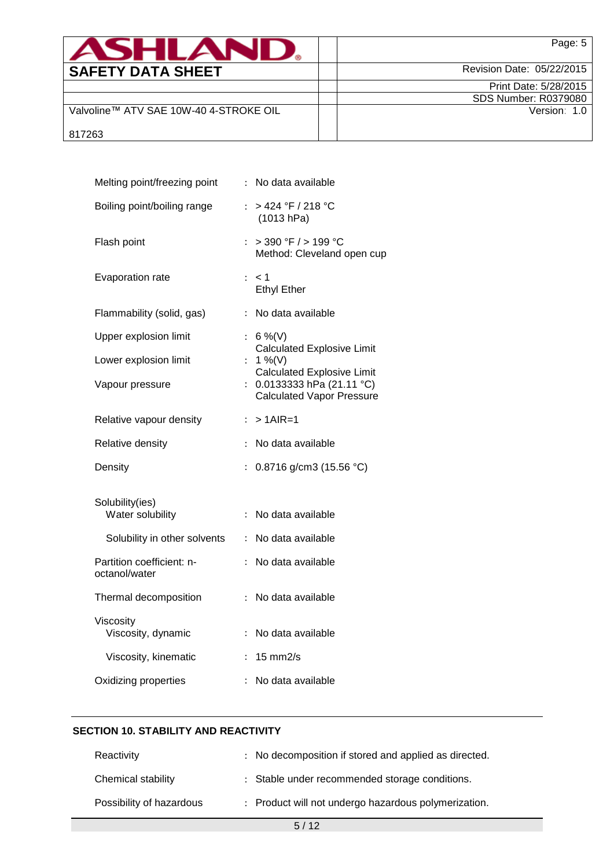| <b>ASHLAND.</b>                        | Page: 5                   |
|----------------------------------------|---------------------------|
| <b>SAFETY DATA SHEET</b>               | Revision Date: 05/22/2015 |
|                                        | Print Date: 5/28/2015     |
|                                        | SDS Number: R0379080      |
| Valvoline™ ATV SAE 10W-40 4-STROKE OIL | Version: 1.0              |
| 817263                                 |                           |

| Melting point/freezing point               |                           | : No data available                                                                                 |
|--------------------------------------------|---------------------------|-----------------------------------------------------------------------------------------------------|
| Boiling point/boiling range                | $\mathbb{R}^{\mathbb{Z}}$ | > 424 °F / 218 °C<br>(1013 hPa)                                                                     |
| Flash point                                | ÷.                        | $>$ 390 °F $/$ > 199 °C<br>Method: Cleveland open cup                                               |
| Evaporation rate                           |                           | $:$ < 1<br><b>Ethyl Ether</b>                                                                       |
| Flammability (solid, gas)                  | ÷                         | No data available                                                                                   |
| Upper explosion limit                      | $\mathbb{R}^{\mathbb{Z}}$ | 6 %(V)                                                                                              |
| Lower explosion limit                      |                           | <b>Calculated Explosive Limit</b><br>1 %(V)                                                         |
| Vapour pressure                            | $\mathbb{R}^{\mathbb{Z}}$ | <b>Calculated Explosive Limit</b><br>0.0133333 hPa $(21.11 °C)$<br><b>Calculated Vapor Pressure</b> |
| Relative vapour density                    |                           | $: > 1$ AIR=1                                                                                       |
| Relative density                           | $\ddot{\phantom{0}}$      | No data available                                                                                   |
| Density                                    | $\ddot{\cdot}$            | 0.8716 g/cm3 (15.56 °C)                                                                             |
|                                            |                           |                                                                                                     |
| Solubility(ies)<br>Water solubility        | $\ddot{\phantom{a}}$      | No data available                                                                                   |
| Solubility in other solvents               | $\ddot{\phantom{a}}$      | No data available                                                                                   |
| Partition coefficient: n-<br>octanol/water |                           | No data available                                                                                   |
| Thermal decomposition                      | $\ddot{\phantom{a}}$      | No data available                                                                                   |
| Viscosity<br>Viscosity, dynamic            | ÷                         | No data available                                                                                   |
| Viscosity, kinematic                       | $\ddot{\phantom{a}}$      | $15 \text{ mm}$ 2/s                                                                                 |

### **SECTION 10. STABILITY AND REACTIVITY**

| Reactivity               | : No decomposition if stored and applied as directed. |
|--------------------------|-------------------------------------------------------|
| Chemical stability       | : Stable under recommended storage conditions.        |
| Possibility of hazardous | : Product will not undergo hazardous polymerization.  |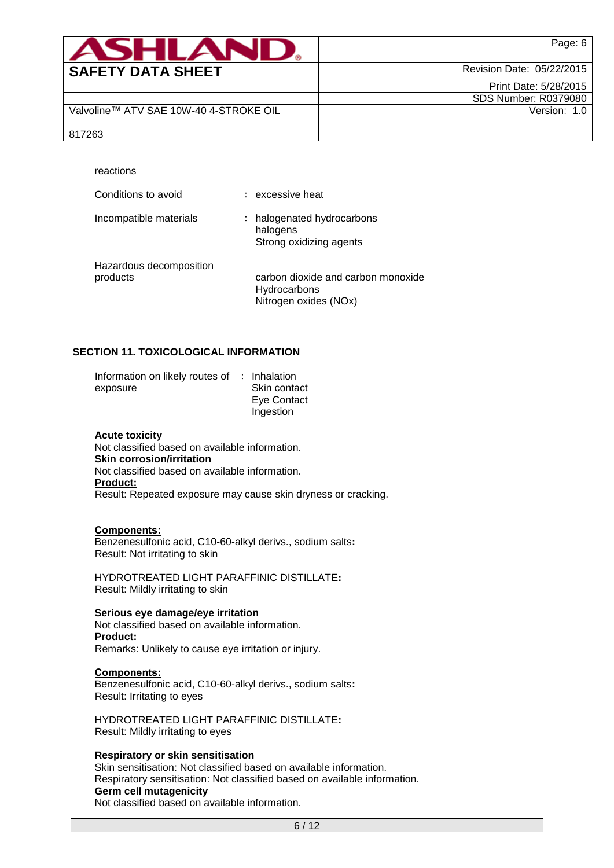| <b>ASHLAND.</b>                        | Page: 6                     |
|----------------------------------------|-----------------------------|
| <b>SAFETY DATA SHEET</b>               | Revision Date: 05/22/2015   |
|                                        | Print Date: 5/28/2015       |
|                                        | <b>SDS Number: R0379080</b> |
| Valvoline™ ATV SAE 10W-40 4-STROKE OIL | Version: 1.0                |
| 817263                                 |                             |

| reactions                           |                                                                             |
|-------------------------------------|-----------------------------------------------------------------------------|
| Conditions to avoid                 | excessive heat                                                              |
| Incompatible materials              | halogenated hydrocarbons<br>halogens<br>Strong oxidizing agents             |
| Hazardous decomposition<br>products | carbon dioxide and carbon monoxide<br>Hydrocarbons<br>Nitrogen oxides (NOx) |

### **SECTION 11. TOXICOLOGICAL INFORMATION**

| Information on likely routes of : Inhalation |              |
|----------------------------------------------|--------------|
| exposure                                     | Skin contact |
|                                              | Eye Contact  |
|                                              | Ingestion    |

#### **Acute toxicity**

Not classified based on available information. **Skin corrosion/irritation** Not classified based on available information. **Product:** Result: Repeated exposure may cause skin dryness or cracking.

#### **Components:**

Benzenesulfonic acid, C10-60-alkyl derivs., sodium salts**:** Result: Not irritating to skin

HYDROTREATED LIGHT PARAFFINIC DISTILLATE**:** Result: Mildly irritating to skin

**Serious eye damage/eye irritation** Not classified based on available information. **Product:** Remarks: Unlikely to cause eye irritation or injury.

#### **Components:**

Benzenesulfonic acid, C10-60-alkyl derivs., sodium salts**:** Result: Irritating to eyes

HYDROTREATED LIGHT PARAFFINIC DISTILLATE**:** Result: Mildly irritating to eyes

### **Respiratory or skin sensitisation**

Skin sensitisation: Not classified based on available information. Respiratory sensitisation: Not classified based on available information. **Germ cell mutagenicity** Not classified based on available information.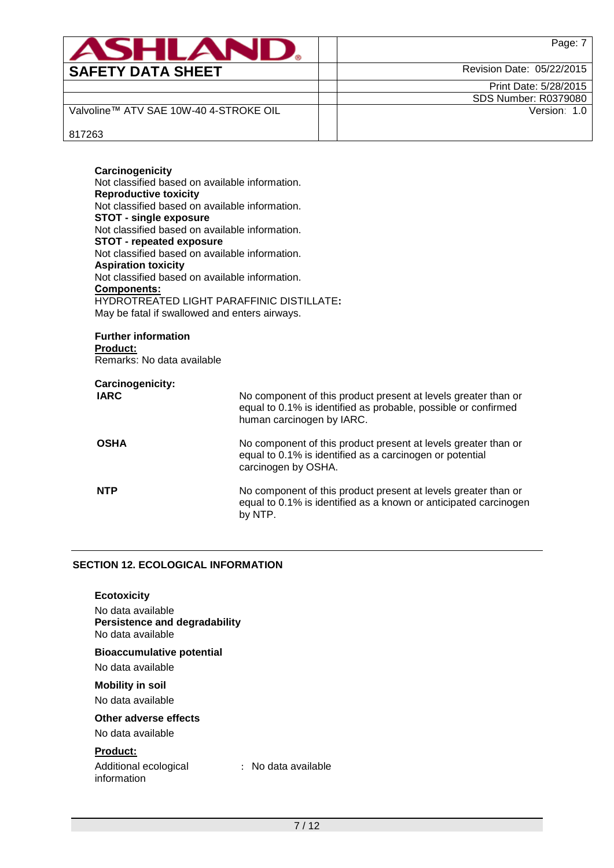| ASHLANI                                | Page: 7                   |
|----------------------------------------|---------------------------|
| <b>SAFETY DATA SHEET</b>               | Revision Date: 05/22/2015 |
|                                        | Print Date: 5/28/2015     |
|                                        | SDS Number: R0379080      |
| Valvoline™ ATV SAE 10W-40 4-STROKE OIL | Version: 1.0              |
| 817263                                 |                           |

### **Carcinogenicity** Not classified based on available information. **Reproductive toxicity** Not classified based on available information. **STOT - single exposure** Not classified based on available information. **STOT - repeated exposure** Not classified based on available information. **Aspiration toxicity** Not classified based on available information. **Components:** HYDROTREATED LIGHT PARAFFINIC DISTILLATE**:** May be fatal if swallowed and enters airways.

#### **Further information Product:**

Remarks: No data available

# **Carcinogenicity:**

| <b>IARC</b> | No component of this product present at levels greater than or<br>equal to 0.1% is identified as probable, possible or confirmed<br>human carcinogen by IARC. |
|-------------|---------------------------------------------------------------------------------------------------------------------------------------------------------------|
| <b>OSHA</b> | No component of this product present at levels greater than or<br>equal to 0.1% is identified as a carcinogen or potential<br>carcinogen by OSHA.             |
| <b>NTP</b>  | No component of this product present at levels greater than or<br>equal to 0.1% is identified as a known or anticipated carcinogen<br>by NTP.                 |

# **SECTION 12. ECOLOGICAL INFORMATION**

### **Ecotoxicity**

No data available **Persistence and degradability** No data available

### **Bioaccumulative potential**

No data available

# **Mobility in soil**

No data available

# **Other adverse effects**

No data available

### **Product:**

Additional ecological information

: No data available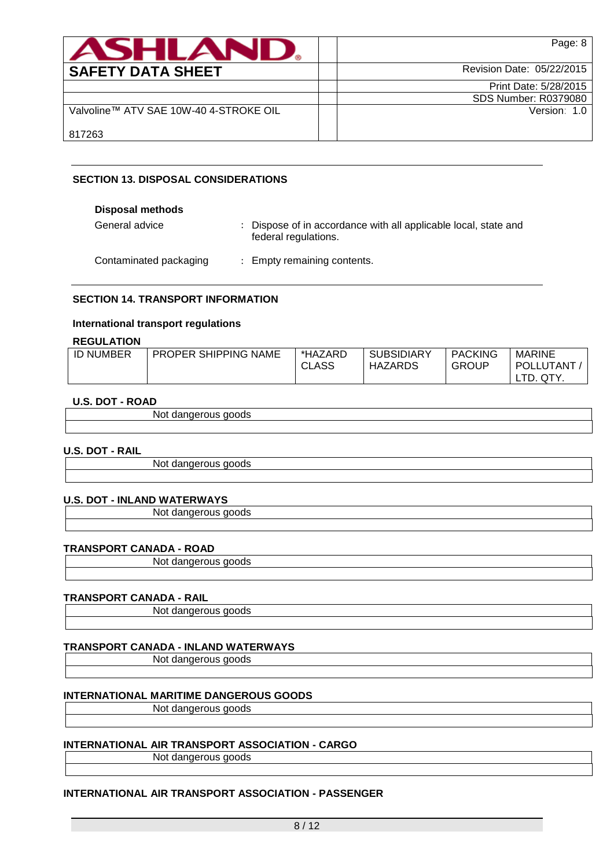| <b>ASHLAND</b>                         | Page: 8                   |
|----------------------------------------|---------------------------|
| <b>SAFETY DATA SHEET</b>               | Revision Date: 05/22/2015 |
|                                        | Print Date: 5/28/2015     |
|                                        | SDS Number: R0379080      |
| Valvoline™ ATV SAE 10W-40 4-STROKE OIL | Version: 1.0              |
| 817263                                 |                           |

# **SECTION 13. DISPOSAL CONSIDERATIONS**

| <b>Disposal methods</b> |                                                                                         |
|-------------------------|-----------------------------------------------------------------------------------------|
| General advice          | : Dispose of in accordance with all applicable local, state and<br>federal regulations. |
| Contaminated packaging  | : Empty remaining contents.                                                             |

### **SECTION 14. TRANSPORT INFORMATION**

### **International transport regulations**

### **REGULATION**

| <b>ID NUMBER</b> | <b>PROPER SHIPPING NAME</b> | *HAZARD      | <b>SUBSIDIARY</b> | <b>PACKING</b> | <b>MARINE</b> |
|------------------|-----------------------------|--------------|-------------------|----------------|---------------|
|                  |                             | <b>CLASS</b> | <b>HAZARDS</b>    | <b>GROUP</b>   | POLLUTANT     |
|                  |                             |              |                   |                | QTY.<br>LTD.  |

### **U.S. DOT - ROAD**

| N/<br>.<br>. . |  |
|----------------|--|
|                |  |

### **U.S. DOT - RAIL**

Not dangerous goods

### **U.S. DOT - INLAND WATERWAYS**

Not dangerous goods

### **TRANSPORT CANADA - ROAD**

Not dangerous goods

### **TRANSPORT CANADA - RAIL**

Not dangerous goods

### **TRANSPORT CANADA - INLAND WATERWAYS**

Not dangerous goods

### **INTERNATIONAL MARITIME DANGEROUS GOODS**

Not dangerous goods

# **INTERNATIONAL AIR TRANSPORT ASSOCIATION - CARGO**

Not dangerous goods

# **INTERNATIONAL AIR TRANSPORT ASSOCIATION - PASSENGER**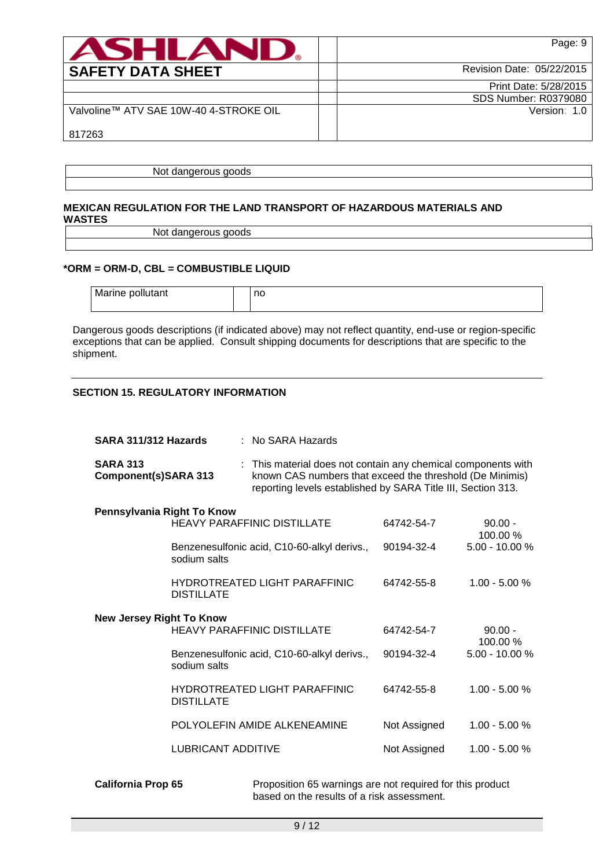| <b>ASHLAND</b>                         | Page: 9                     |
|----------------------------------------|-----------------------------|
| <b>SAFETY DATA SHEET</b>               | Revision Date: 05/22/2015   |
|                                        | Print Date: 5/28/2015       |
|                                        | <b>SDS Number: R0379080</b> |
| Valvoline™ ATV SAE 10W-40 4-STROKE OIL | Version: 1.0                |
| 817263                                 |                             |

Not dangerous goods

### **MEXICAN REGULATION FOR THE LAND TRANSPORT OF HAZARDOUS MATERIALS AND WASTES**

Not dangerous goods

## **\*ORM = ORM-D, CBL = COMBUSTIBLE LIQUID**

Marine pollutant and no

Dangerous goods descriptions (if indicated above) may not reflect quantity, end-use or region-specific exceptions that can be applied. Consult shipping documents for descriptions that are specific to the shipment.

## **SECTION 15. REGULATORY INFORMATION**

| SARA 311/312 Hazards                    | : No SARA Hazards         |                                             |                                                                                                                                                                                           |                       |
|-----------------------------------------|---------------------------|---------------------------------------------|-------------------------------------------------------------------------------------------------------------------------------------------------------------------------------------------|-----------------------|
| <b>SARA 313</b><br>Component(s)SARA 313 |                           |                                             | : This material does not contain any chemical components with<br>known CAS numbers that exceed the threshold (De Minimis)<br>reporting levels established by SARA Title III, Section 313. |                       |
| Pennsylvania Right To Know              |                           | HEAVY PARAFFINIC DISTILLATE                 | 64742-54-7                                                                                                                                                                                | $90.00 -$<br>100.00 % |
|                                         | sodium salts              | Benzenesulfonic acid, C10-60-alkyl derivs., | 90194-32-4                                                                                                                                                                                | $5.00 - 10.00 %$      |
|                                         | <b>DISTILLATE</b>         | <b>HYDROTREATED LIGHT PARAFFINIC</b>        | 64742-55-8                                                                                                                                                                                | $1.00 - 5.00 %$       |
| <b>New Jersey Right To Know</b>         |                           | <b>HEAVY PARAFFINIC DISTILLATE</b>          | 64742-54-7                                                                                                                                                                                | $90.00 -$<br>100.00 % |
|                                         | sodium salts              | Benzenesulfonic acid, C10-60-alkyl derivs., | 90194-32-4                                                                                                                                                                                | $5.00 - 10.00 %$      |
|                                         | <b>DISTILLATE</b>         | <b>HYDROTREATED LIGHT PARAFFINIC</b>        | 64742-55-8                                                                                                                                                                                | $1.00 - 5.00 %$       |
|                                         |                           | POLYOLEFIN AMIDE ALKENEAMINE                | Not Assigned                                                                                                                                                                              | $1.00 - 5.00 %$       |
|                                         | <b>LUBRICANT ADDITIVE</b> |                                             | Not Assigned                                                                                                                                                                              | $1.00 - 5.00 %$       |
|                                         |                           |                                             |                                                                                                                                                                                           |                       |

**California Prop 65** Proposition 65 warnings are not required for this product based on the results of a risk assessment.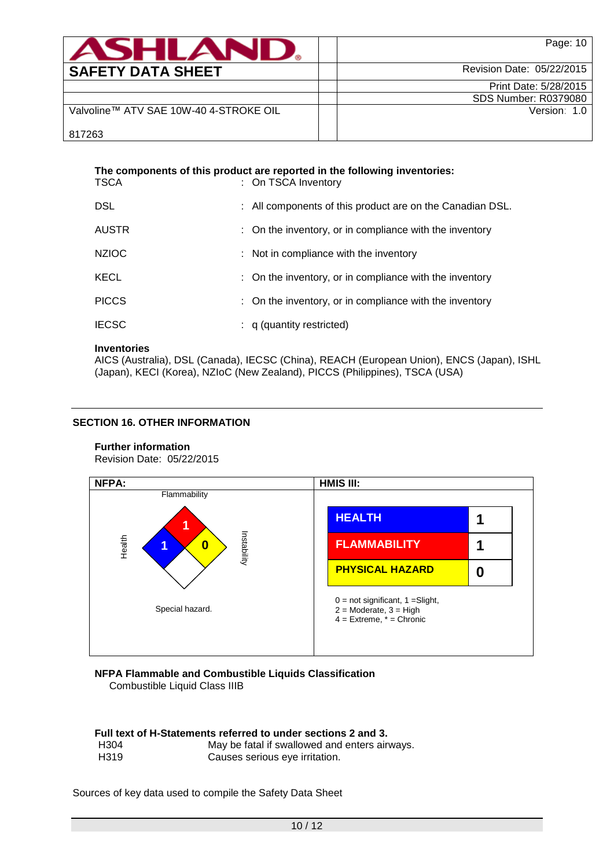| <b>ASHLAND.</b>                        | Page: 10                  |
|----------------------------------------|---------------------------|
| <b>SAFETY DATA SHEET</b>               | Revision Date: 05/22/2015 |
|                                        | Print Date: 5/28/2015     |
|                                        | SDS Number: R0379080      |
| Valvoline™ ATV SAE 10W-40 4-STROKE OIL | Version: 1.0              |
| 817263                                 |                           |

| <b>TSCA</b>  | The components of this product are reported in the following inventories:<br>: On TSCA Inventory |
|--------------|--------------------------------------------------------------------------------------------------|
| DSL          | : All components of this product are on the Canadian DSL.                                        |
| <b>AUSTR</b> | : On the inventory, or in compliance with the inventory                                          |
| <b>NZIOC</b> | : Not in compliance with the inventory                                                           |
| <b>KECL</b>  | : On the inventory, or in compliance with the inventory                                          |
| <b>PICCS</b> | : On the inventory, or in compliance with the inventory                                          |
| <b>IECSC</b> | $: q$ (quantity restricted)                                                                      |

### **Inventories**

AICS (Australia), DSL (Canada), IECSC (China), REACH (European Union), ENCS (Japan), ISHL (Japan), KECI (Korea), NZIoC (New Zealand), PICCS (Philippines), TSCA (USA)

# **SECTION 16. OTHER INFORMATION**

# **Further information**

Revision Date: 05/22/2015



#### **NFPA Flammable and Combustible Liquids Classification** Combustible Liquid Class IIIB

**Full text of H-Statements referred to under sections 2 and 3.** H304 May be fatal if swallowed and enters airways.<br>H319 Causes serious eye irritation. Causes serious eye irritation.

### Sources of key data used to compile the Safety Data Sheet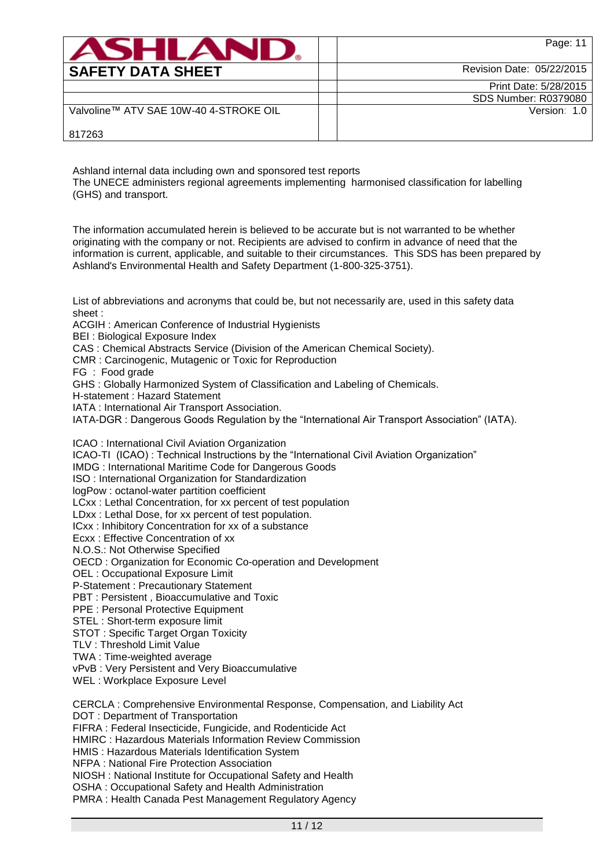| <b>ASHLAND.</b>                        | Page: 11                    |
|----------------------------------------|-----------------------------|
| <b>SAFETY DATA SHEET</b>               | Revision Date: 05/22/2015   |
|                                        | Print Date: 5/28/2015       |
|                                        | <b>SDS Number: R0379080</b> |
| Valvoline™ ATV SAE 10W-40 4-STROKE OIL | Version: 1.0                |
| 817263                                 |                             |

Ashland internal data including own and sponsored test reports

The UNECE administers regional agreements implementing harmonised classification for labelling (GHS) and transport.

The information accumulated herein is believed to be accurate but is not warranted to be whether originating with the company or not. Recipients are advised to confirm in advance of need that the information is current, applicable, and suitable to their circumstances. This SDS has been prepared by Ashland's Environmental Health and Safety Department (1-800-325-3751).

List of abbreviations and acronyms that could be, but not necessarily are, used in this safety data sheet :

ACGIH : American Conference of Industrial Hygienists

BEI : Biological Exposure Index

CAS : Chemical Abstracts Service (Division of the American Chemical Society).

CMR : Carcinogenic, Mutagenic or Toxic for Reproduction

FG : Food grade

GHS : Globally Harmonized System of Classification and Labeling of Chemicals.

H-statement : Hazard Statement

IATA : International Air Transport Association.

IATA-DGR : Dangerous Goods Regulation by the "International Air Transport Association" (IATA).

ICAO : International Civil Aviation Organization

ICAO-TI (ICAO) : Technical Instructions by the "International Civil Aviation Organization"

IMDG : International Maritime Code for Dangerous Goods

ISO : International Organization for Standardization

logPow : octanol-water partition coefficient

LCxx : Lethal Concentration, for xx percent of test population

LDxx : Lethal Dose, for xx percent of test population.

ICxx : Inhibitory Concentration for xx of a substance

Ecxx : Effective Concentration of xx

N.O.S.: Not Otherwise Specified

OECD : Organization for Economic Co-operation and Development

OEL : Occupational Exposure Limit

P-Statement : Precautionary Statement

PBT : Persistent , Bioaccumulative and Toxic

PPE : Personal Protective Equipment

STEL : Short-term exposure limit

STOT : Specific Target Organ Toxicity

TLV : Threshold Limit Value

TWA : Time-weighted average

vPvB : Very Persistent and Very Bioaccumulative

WEL : Workplace Exposure Level

CERCLA : Comprehensive Environmental Response, Compensation, and Liability Act

DOT : Department of Transportation

FIFRA : Federal Insecticide, Fungicide, and Rodenticide Act

HMIRC : Hazardous Materials Information Review Commission

HMIS : Hazardous Materials Identification System NFPA : National Fire Protection Association

NIOSH : National Institute for Occupational Safety and Health

OSHA : Occupational Safety and Health Administration

PMRA : Health Canada Pest Management Regulatory Agency